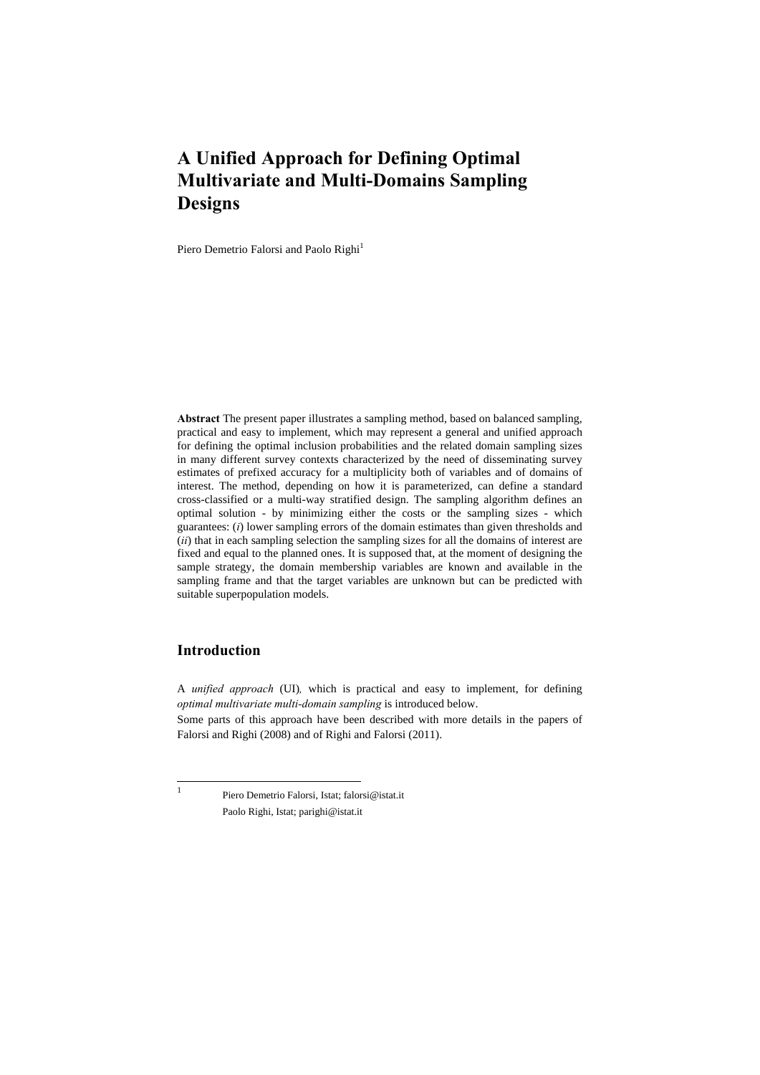# **A Unified Approach for Defining Optimal Multivariate and Multi-Domains Sampling Designs**

Piero Demetrio Falorsi and Paolo Righi<sup>1</sup>

**Abstract** The present paper illustrates a sampling method, based on balanced sampling, practical and easy to implement, which may represent a general and unified approach for defining the optimal inclusion probabilities and the related domain sampling sizes in many different survey contexts characterized by the need of disseminating survey estimates of prefixed accuracy for a multiplicity both of variables and of domains of interest. The method, depending on how it is parameterized, can define a standard cross-classified or a multi-way stratified design. The sampling algorithm defines an optimal solution - by minimizing either the costs or the sampling sizes - which guarantees: (*i*) lower sampling errors of the domain estimates than given thresholds and (*ii*) that in each sampling selection the sampling sizes for all the domains of interest are fixed and equal to the planned ones. It is supposed that, at the moment of designing the sample strategy, the domain membership variables are known and available in the sampling frame and that the target variables are unknown but can be predicted with suitable superpopulation models.

## **Introduction**

A *unified approach* (UI)*,* which is practical and easy to implement, for defining *optimal multivariate multi-domain sampling* is introduced below.

Some parts of this approach have been described with more details in the papers of Falorsi and Righi (2008) and of Righi and Falorsi (2011).

 $\frac{1}{1}$ 

 Piero Demetrio Falorsi, Istat; falorsi@istat.it Paolo Righi, Istat; parighi@istat.it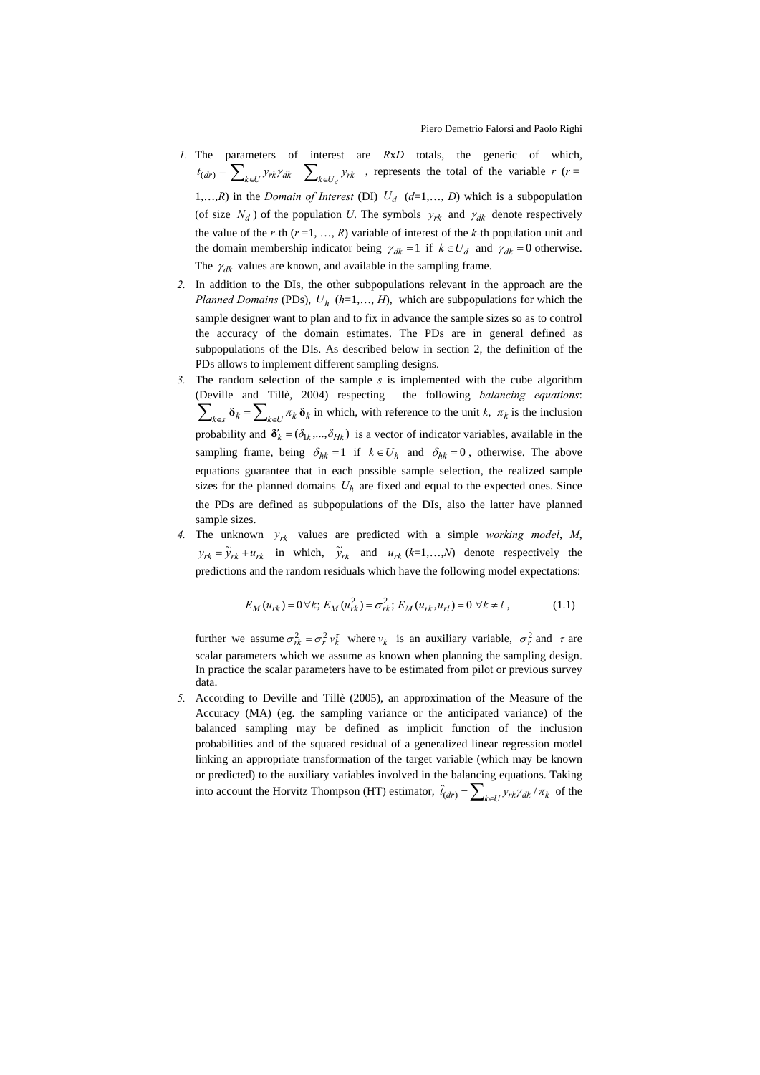- *1.* The parameters of interest are *R*x*D* totals, the generic of which,  $t_{(dr)} = \sum_{k \in U} y_{rk} \gamma_{dk} = \sum_{k \in U} y_{rk}$ , represents the total of the variable *r* (*r* = 1,...,*R*) in the *Domain of Interest* (DI)  $U_d$  ( $d=1,..., D$ ) which is a subpopulation (of size  $N_d$ ) of the population *U*. The symbols  $y_{rk}$  and  $\gamma_{dk}$  denote respectively the value of the *r-*th (*r* =1, …, *R*) variable of interest of the *k-*th population unit and the domain membership indicator being  $\gamma_{dk} = 1$  if  $k \in U_d$  and  $\gamma_{dk} = 0$  otherwise. The  $\gamma_{dk}$  values are known, and available in the sampling frame.
- *2.* In addition to the DIs, the other subpopulations relevant in the approach are the *Planned Domains* (PDs),  $U_h$  ( $h=1,..., H$ ), which are subpopulations for which the sample designer want to plan and to fix in advance the sample sizes so as to control the accuracy of the domain estimates. The PDs are in general defined as subpopulations of the DIs. As described below in section 2, the definition of the PDs allows to implement different sampling designs.
- *3.* The random selection of the sample *s* is implemented with the cube algorithm (Deville and Tillè, 2004) respecting the following *balancing equations*:  $\sum_{k \in \mathcal{S}} \delta_k = \sum_{k \in \mathcal{I}} \pi_k \delta_k$  in which, with reference to the unit *k*,  $\pi_k$  is the inclusion probability and  $\delta'_{k} = (\delta_{1k}, ..., \delta_{Hk})$  is a vector of indicator variables, available in the sampling frame, being  $\delta_{hk} = 1$  if  $k \in U_h$  and  $\delta_{hk} = 0$ , otherwise. The above equations guarantee that in each possible sample selection, the realized sample sizes for the planned domains  $U_h$  are fixed and equal to the expected ones. Since the PDs are defined as subpopulations of the DIs, also the latter have planned sample sizes.
- *4.* The unknown  $y_{rk}$  values are predicted with a simple *working model*, *M*,  $y_{rk} = \tilde{y}_{rk} + u_{rk}$  in which,  $\tilde{y}_{rk}$  and  $u_{rk}$  (*k*=1,…,*N*) denote respectively the predictions and the random residuals which have the following model expectations:

$$
E_M(u_{rk}) = 0 \,\forall k; \, E_M(u_{rk}^2) = \sigma_{rk}^2; \, E_M(u_{rk}, u_{rl}) = 0 \,\forall k \neq l \,, \tag{1.1}
$$

further we assume  $\sigma_{rk}^2 = \sigma_r^2 v_k^{\tau}$  where  $v_k$  is an auxiliary variable,  $\sigma_r^2$  and  $\tau$  are scalar parameters which we assume as known when planning the sampling design. In practice the scalar parameters have to be estimated from pilot or previous survey data.

*5.* According to Deville and Tillè (2005), an approximation of the Measure of the Accuracy (MA) (eg. the sampling variance or the anticipated variance) of the balanced sampling may be defined as implicit function of the inclusion probabilities and of the squared residual of a generalized linear regression model linking an appropriate transformation of the target variable (which may be known or predicted) to the auxiliary variables involved in the balancing equations. Taking into account the Horvitz Thompson (HT) estimator,  $\hat{t}_{(dr)} = \sum_{k \in U} y_{rk} \gamma_{dk} / \pi_k$  of the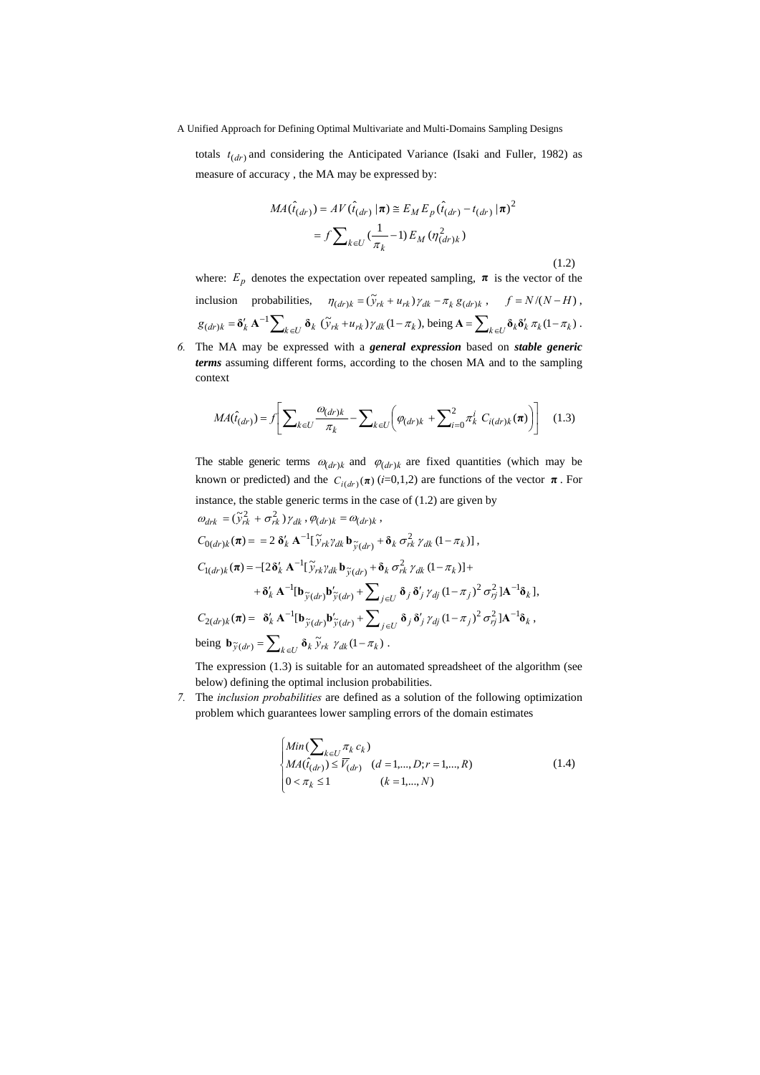totals  $t_{(dr)}$  and considering the Anticipated Variance (Isaki and Fuller, 1982) as measure of accuracy , the MA may be expressed by:

$$
MA(\hat{t}_{(dr)}) = AV(\hat{t}_{(dr)} | \pi) \cong E_M E_p(\hat{t}_{(dr)} - t_{(dr)} | \pi)^2
$$

$$
= f \sum_{k \in U} \left(\frac{1}{\pi_k} - 1\right) E_M(\eta_{(dr)k}^2)
$$
(1.2)

where:  $E_p$  denotes the expectation over repeated sampling,  $\pi$  is the vector of the inclusion probabilities,  $\eta_{(dr)k} = (\tilde{y}_{rk} + u_{rk}) \gamma_{dk} - \pi_k g_{(dr)k}$ ,  $f = N/(N - H)$ ,  $g_{(dr)k} = \delta'_k \mathbf{A}^{-1} \sum_{k \in U} \delta_k (\tilde{y}_{rk} + u_{rk}) \gamma_{dk} (1 - \pi_k)$ , being  $\mathbf{A} = \sum_{k \in U} \delta_k \delta'_k \pi_k (1 - \pi_k)$ .

*6.* The MA may be expressed with a *general expression* based on *stable generic terms* assuming different forms, according to the chosen MA and to the sampling context

$$
MA(\hat{t}_{(dr)}) = f \left[ \sum_{k \in U} \frac{\omega_{(dr)k}}{\pi_k} - \sum_{k \in U} \left( \varphi_{(dr)k} + \sum_{i=0}^2 \pi_k^i C_{i(dr)k}(\pi) \right) \right] \quad (1.3)
$$

The stable generic terms  $\omega_{(dr)k}$  and  $\varphi_{(dr)k}$  are fixed quantities (which may be known or predicted) and the  $C_{i(dr)}(\pi)(i=0,1,2)$  are functions of the vector  $\pi$ . For instance, the stable generic terms in the case of  $(1.2)$  are given by

$$
\omega_{drk} = (\tilde{y}_{rk}^2 + \sigma_{rk}^2) \gamma_{dk}, \varphi_{(dr)k} = \omega_{(dr)k},
$$
  
\n
$$
C_{0(dr)k}(\pi) = 2 \delta'_{k} \mathbf{A}^{-1} [\tilde{y}_{rk} \gamma_{dk} \mathbf{b}_{\tilde{y}(dr)} + \delta_{k} \sigma_{rk}^2 \gamma_{dk} (1 - \pi_{k})],
$$
  
\n
$$
C_{1(dr)k}(\pi) = -[2\delta'_{k} \mathbf{A}^{-1} [\tilde{y}_{rk} \gamma_{dk} \mathbf{b}_{\tilde{y}(dr)} + \delta_{k} \sigma_{rk}^2 \gamma_{dk} (1 - \pi_{k})] +
$$
  
\n
$$
+ \delta'_{k} \mathbf{A}^{-1} [\mathbf{b}_{\tilde{y}(dr)} \mathbf{b}_{\tilde{y}(dr)}' + \sum_{j \in U} \delta_{j} \delta'_{j} \gamma_{dj} (1 - \pi_{j})^2 \sigma_{rj}^2] \mathbf{A}^{-1} \delta_{k}],
$$
  
\n
$$
C_{2(dr)k}(\pi) = \delta'_{k} \mathbf{A}^{-1} [\mathbf{b}_{\tilde{y}(dr)} \mathbf{b}_{\tilde{y}(dr)}' + \sum_{j \in U} \delta_{j} \delta'_{j} \gamma_{dj} (1 - \pi_{j})^2 \sigma_{rj}^2] \mathbf{A}^{-1} \delta_{k},
$$
  
\nbeing  $\mathbf{b}_{\tilde{y}(dr)} = \sum_{k \in U} \delta_{k} \tilde{y}_{rk} \gamma_{dk} (1 - \pi_{k}).$   
\nThe expression (1.3) is suitable for an automated spreadsheet of the algorithm

 $\sin(1.3)$  is suitable for an automated spreadsheet of the algorithm (see below) defining the optimal inclusion probabilities.

*7.* The *inclusion probabilities* are defined as a solution of the following optimization problem which guarantees lower sampling errors of the domain estimates

$$
\begin{cases}\nMin(\sum_{k \in U} \pi_k c_k) \\
MA(\hat{t}_{(dr)}) \le \overline{V}_{(dr)} \quad (d = 1, ..., D; r = 1, ..., R) \\
0 < \pi_k \le 1 \quad (k = 1, ..., N)\n\end{cases} \tag{1.4}
$$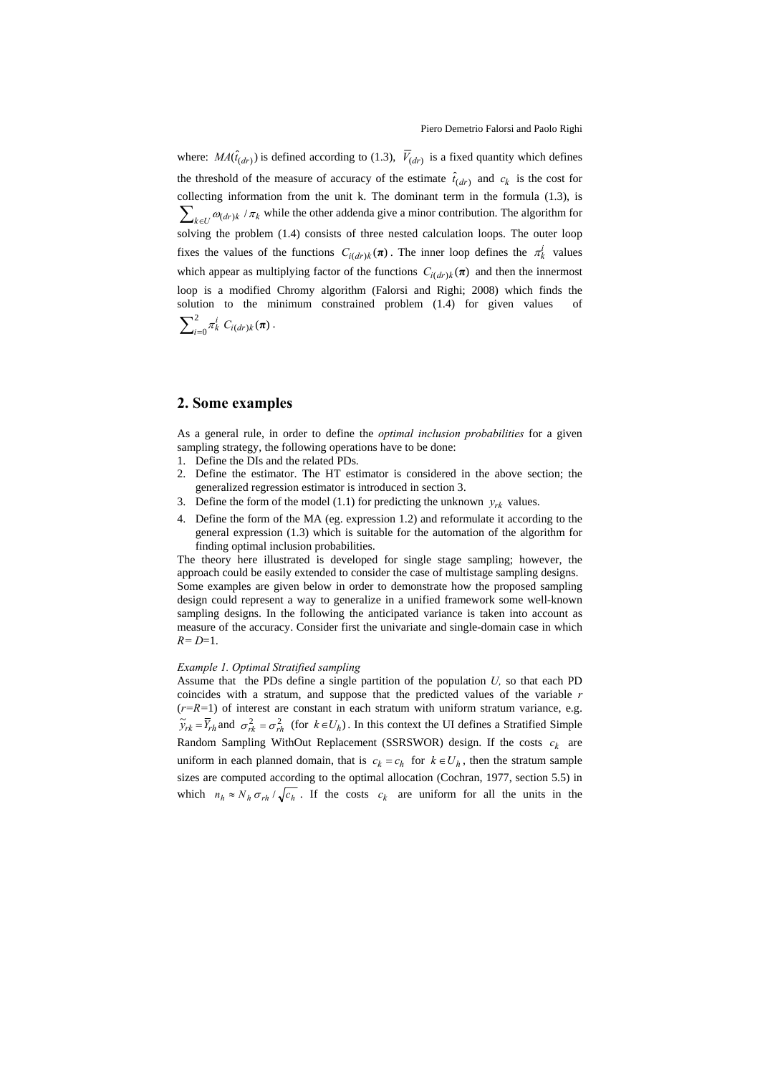where:  $MA(\hat{t}_{(dr)})$  is defined according to (1.3),  $\overline{V}_{(dr)}$  is a fixed quantity which defines the threshold of the measure of accuracy of the estimate  $\hat{t}_{(dr)}$  and  $c_k$  is the cost for collecting information from the unit k. The dominant term in the formula (1.3), is  $\sum_{k\in U}\omega_{(dr)k}/\pi_k$  while the other addenda give a minor contribution. The algorithm for solving the problem (1.4) consists of three nested calculation loops. The outer loop fixes the values of the functions  $C_{i(dr)k}(\pi)$ . The inner loop defines the  $\pi_k^i$  values which appear as multiplying factor of the functions  $C_{i(dr)k}(\boldsymbol{\pi})$  and then the innermost loop is a modified Chromy algorithm (Falorsi and Righi; 2008) which finds the solution to the minimum constrained problem  $(1.4)$  for given values  $\sum_{i=0}^{2} \pi_k^i C_{i(dr)k}(\pi)$ .

## **2. Some examples**

As a general rule, in order to define the *optimal inclusion probabilities* for a given sampling strategy, the following operations have to be done:

- 1. Define the DIs and the related PDs.
- 2. Define the estimator. The HT estimator is considered in the above section; the generalized regression estimator is introduced in section 3.
- 3. Define the form of the model (1.1) for predicting the unknown  $y_{rk}$  values.
- 4. Define the form of the MA (eg. expression 1.2) and reformulate it according to the general expression (1.3) which is suitable for the automation of the algorithm for finding optimal inclusion probabilities.

The theory here illustrated is developed for single stage sampling; however, the approach could be easily extended to consider the case of multistage sampling designs. Some examples are given below in order to demonstrate how the proposed sampling design could represent a way to generalize in a unified framework some well-known sampling designs. In the following the anticipated variance is taken into account as measure of the accuracy. Consider first the univariate and single-domain case in which *R= D*=1.

#### *Example 1. Optimal Stratified sampling*

Assume that the PDs define a single partition of the population  $U$ , so that each PD coincides with a stratum, and suppose that the predicted values of the variable *r*  $(r=R=1)$  of interest are constant in each stratum with uniform stratum variance, e.g.  $\tilde{y}_{rk} = \overline{Y}_{rh}$  and  $\sigma_{rk}^2 = \sigma_{rh}^2$  (for  $k \in U_h$ ). In this context the UI defines a Stratified Simple Random Sampling WithOut Replacement (SSRSWOR) design. If the costs  $c_k$  are uniform in each planned domain, that is  $c_k = c_h$  for  $k \in U_h$ , then the stratum sample sizes are computed according to the optimal allocation (Cochran, 1977, section 5.5) in which  $n_h \approx N_h \sigma_{rh} / \sqrt{c_h}$ . If the costs  $c_k$  are uniform for all the units in the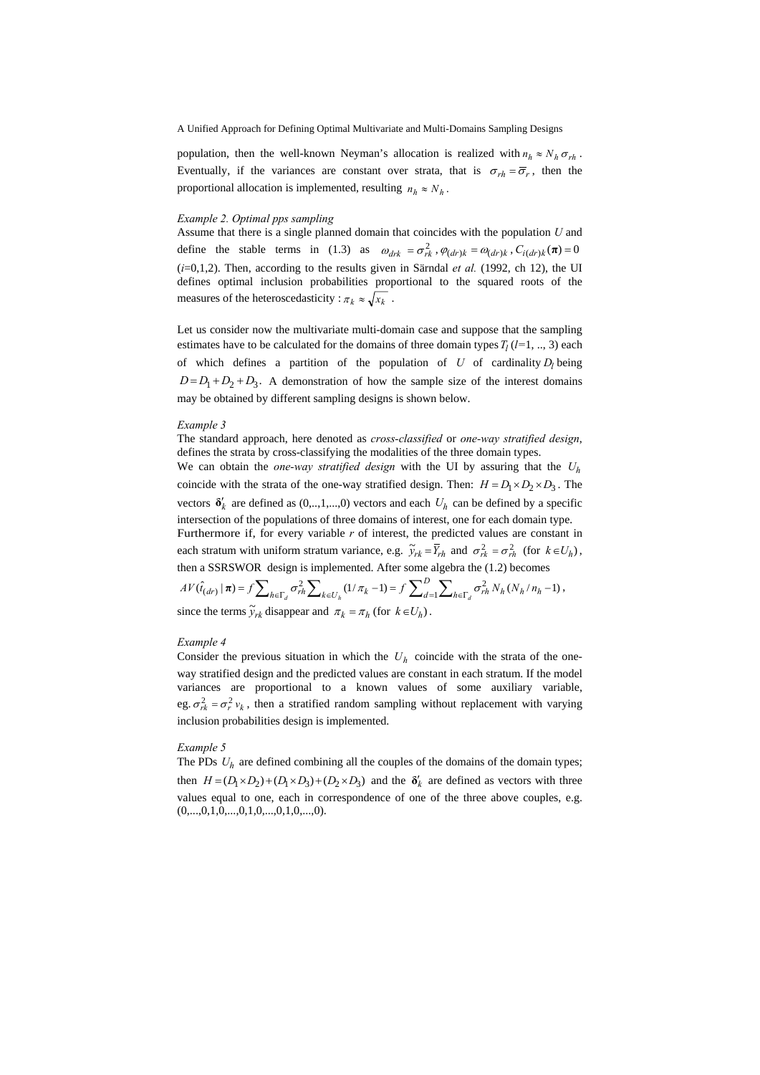A Unified Approach for Defining Optimal Multivariate and Multi-Domains Sampling Designs

population, then the well-known Neyman's allocation is realized with  $n_h \approx N_h \sigma_{rh}$ . Eventually, if the variances are constant over strata, that is  $\sigma_{rh} = \overline{\sigma}_r$ , then the proportional allocation is implemented, resulting  $n_h \approx N_h$ .

#### *Example 2. Optimal pps sampling*

Assume that there is a single planned domain that coincides with the population *U* and define the stable terms in (1.3) as  $\omega_{drk} = \sigma_{rk}^2$ ,  $\varphi_{(dr)k} = \omega_{(dr)k}$ ,  $C_{i(dr)k}(\pi) = 0$ (*i*=0,1,2). Then, according to the results given in Särndal *et al.* (1992, ch 12), the UI defines optimal inclusion probabilities proportional to the squared roots of the measures of the heteroscedasticity :  $\pi_k \approx \sqrt{x_k}$ .

Let us consider now the multivariate multi-domain case and suppose that the sampling estimates have to be calculated for the domains of three domain types  $T_l$  ( $l=1, ..., 3$ ) each of which defines a partition of the population of  $U$  of cardinality  $D_l$  being  $D = D_1 + D_2 + D_3$ . A demonstration of how the sample size of the interest domains may be obtained by different sampling designs is shown below.

#### *Example 3*

The standard approach, here denoted as *cross-classified* or *one-way stratified design*, defines the strata by cross-classifying the modalities of the three domain types.

We can obtain the *one-way stratified design* with the UI by assuring that the *Uh* coincide with the strata of the one-way stratified design. Then:  $H = D_1 \times D_2 \times D_3$ . The vectors  $\delta'_{k}$  are defined as  $(0, ..., 1, ..., 0)$  vectors and each  $U_{h}$  can be defined by a specific intersection of the populations of three domains of interest, one for each domain type. Furthermore if, for every variable *r* of interest, the predicted values are constant in each stratum with uniform stratum variance, e.g.  $\tilde{y}_{rk} = \overline{Y}_{rh}$  and  $\sigma_{rk}^2 = \sigma_{rh}^2$  (for  $k \in U_h$ ), then a SSRSWOR design is implemented. After some algebra the (1.2) becomes

$$
AV(\hat{t}_{(dr)} | \boldsymbol{\pi}) = f \sum_{h \in \Gamma_d} \sigma_{rh}^2 \sum_{k \in U_h} (1/\pi_k - 1) = f \sum_{d=1}^D \sum_{h \in \Gamma_d} \sigma_{rh}^2 N_h (N_h / n_h - 1),
$$
  
since the terms  $\tilde{y}_{rk}$  disappear and  $\pi_k = \pi_h$  (for  $k \in U_h$ ).

### *Example 4*

Consider the previous situation in which the  $U<sub>h</sub>$  coincide with the strata of the oneway stratified design and the predicted values are constant in each stratum. If the model variances are proportional to a known values of some auxiliary variable, eg.  $\sigma_{rk}^2 = \sigma_r^2 v_k$ , then a stratified random sampling without replacement with varying inclusion probabilities design is implemented.

#### *Example 5*

The PDs  $U<sub>h</sub>$  are defined combining all the couples of the domains of the domain types; then  $H = (D_1 \times D_2) + (D_1 \times D_3) + (D_2 \times D_3)$  and the  $\delta'_k$  are defined as vectors with three values equal to one, each in correspondence of one of the three above couples, e.g.  $(0,...,0,1,0,...,0,1,0,...,0,1,0,...,0).$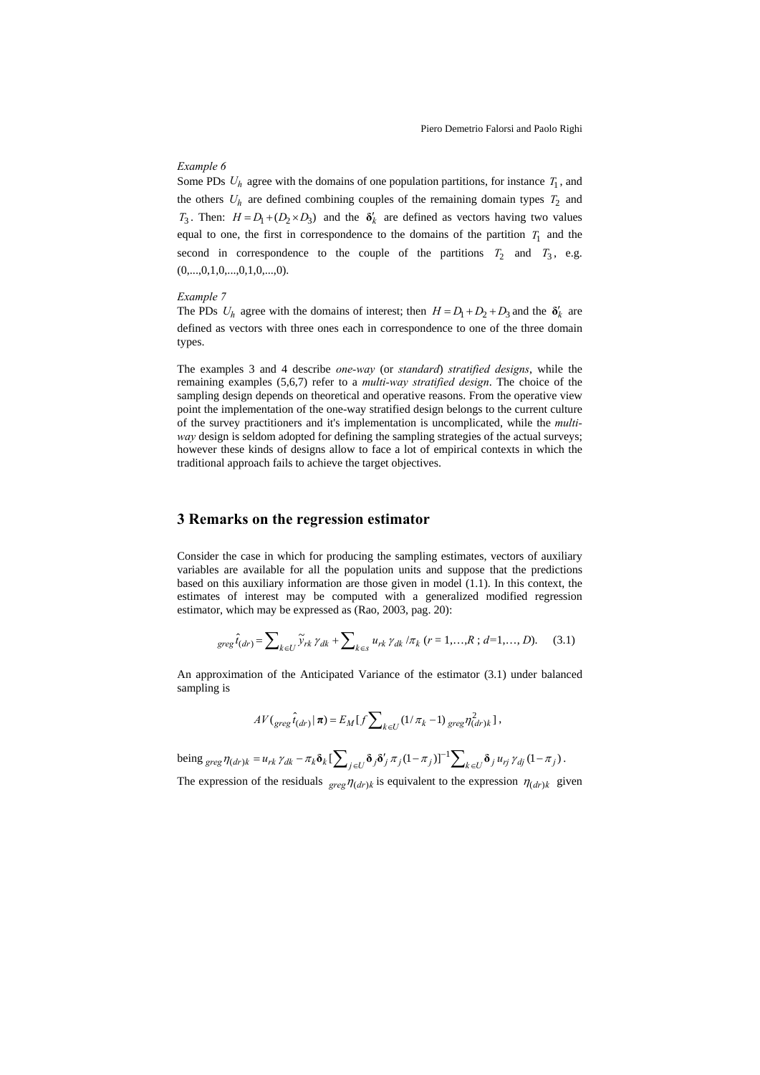## *Example 6*

Some PDs  $U_h$  agree with the domains of one population partitions, for instance  $T_1$ , and the others  $U_h$  are defined combining couples of the remaining domain types  $T_2$  and *T*<sub>3</sub>. Then:  $H = D_1 + (D_2 \times D_3)$  and the  $\delta'_k$  are defined as vectors having two values equal to one, the first in correspondence to the domains of the partition  $T_1$  and the second in correspondence to the couple of the partitions  $T_2$  and  $T_3$ , e.g.  $(0,...,0,1,0,...,0,1,0,...,0).$ 

#### *Example 7*

The PDs  $U_h$  agree with the domains of interest; then  $H = D_1 + D_2 + D_3$  and the  $\delta'_k$  are defined as vectors with three ones each in correspondence to one of the three domain types.

The examples 3 and 4 describe *one-way* (or *standard*) *stratified designs*, while the remaining examples (5,6,7) refer to a *multi-way stratified design*. The choice of the sampling design depends on theoretical and operative reasons. From the operative view point the implementation of the one-way stratified design belongs to the current culture of the survey practitioners and it's implementation is uncomplicated, while the *multiway* design is seldom adopted for defining the sampling strategies of the actual surveys; however these kinds of designs allow to face a lot of empirical contexts in which the traditional approach fails to achieve the target objectives.

## **3 Remarks on the regression estimator**

Consider the case in which for producing the sampling estimates, vectors of auxiliary variables are available for all the population units and suppose that the predictions based on this auxiliary information are those given in model (1.1). In this context, the estimates of interest may be computed with a generalized modified regression estimator, which may be expressed as (Rao, 2003, pag. 20):

$$
greg\,\hat{t}_{(dr)} = \sum_{k \in U} \tilde{y}_{rk} \,\gamma_{dk} + \sum_{k \in S} u_{rk} \,\gamma_{dk} \,/\pi_k \,(r = 1, ..., R \,; d = 1, ..., D). \tag{3.1}
$$

An approximation of the Anticipated Variance of the estimator (3.1) under balanced sampling is

$$
AV(\text{greg} \hat{t}_{(dr)} | \boldsymbol{\pi}) = E_M[f \sum\nolimits_{k \in U} (1/\pi_k - 1) \text{ greg} \eta_{(dr)k}^2],
$$

being  $_{\text{greg}} \eta_{(dr)k} = u_{rk} \gamma_{dk} - \pi_k \delta_k \left[ \sum_{j \in U} \delta_j \delta'_j \pi_j (1 - \pi_j) \right]^{-1} \sum_{k \in U} \delta_j u_{rj} \gamma_{dj} (1 - \pi_j).$ 

The expression of the residuals  $_{\text{gree}} \eta_{(dr)k}$  is equivalent to the expression  $\eta_{(dr)k}$  given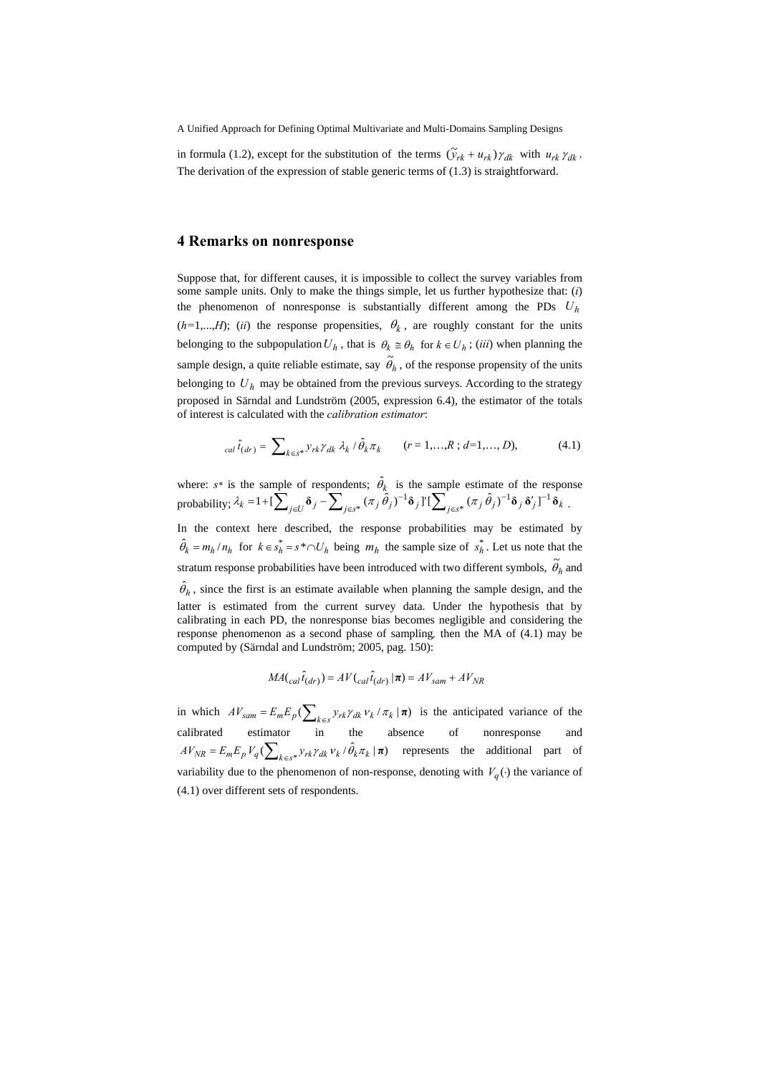A Unified Approach for Defining Optimal Multivariate and Multi-Domains Sampling Designs

in formula (1.2), except for the substitution of the terms  $(\tilde{y}_{rk} + u_{rk}) \gamma_{dk}$  with  $u_{rk} \gamma_{dk}$ . The derivation of the expression of stable generic terms of (1.3) is straightforward.

### **4 Remarks on nonresponse**

Suppose that, for different causes, it is impossible to collect the survey variables from some sample units. Only to make the things simple, let us further hypothesize that: (*i*) the phenomenon of nonresponse is substantially different among the PDs *Uh*  $(h=1,...,H)$ ; *(ii)* the response propensities,  $\theta_k$ , are roughly constant for the units belonging to the subpopulation  $U_h$ , that is  $\theta_k \cong \theta_h$  for  $k \in U_h$ ; (*iii*) when planning the sample design, a quite reliable estimate, say  $\tilde{\theta}_h$ , of the response propensity of the units belonging to  $U_h$  may be obtained from the previous surveys. According to the strategy proposed in Särndal and Lundström (2005, expression 6.4), the estimator of the totals of interest is calculated with the *calibration estimator*:

$$
_{cal} \hat{t}_{(dr)} = \sum\nolimits_{k \in S^*} \frac{\gamma_{rk} \gamma_{dk} \lambda_k / \hat{\theta}_k \pi_k}{\gamma_{rk} \gamma_{dk} \pi_k} \qquad (r = 1, \dots, R \, ; \, d = 1, \dots, D), \tag{4.1}
$$

where:  $s^*$  is the sample of respondents;  $\hat{\theta}_k$  is the sample estimate of the response probability;  $\lambda_k = 1 + [\sum_{j \in U} \delta_j - \sum_{j \in s^*} (\pi_j \hat{\theta}_j)^{-1} \delta_j]^\intercal [\sum_{j \in s^*} (\pi_j \hat{\theta}_j)^{-1} \delta_j \delta'_j]^\intercal$ ∈  $=1+[\sum_{j\in U}\delta_j-\sum_{j\in s^*}(\pi_j\,\hat{\theta}_j)^{-1}\delta_j]![\sum_{j\in s^*}(\pi_j\,\hat{\theta}_j)^{-1}\delta_j\,\delta'_j]^{-1}$  $\lambda_k = 1 + \left[\sum_{j\in U} \delta_j - \sum_{j\in s^*} (\pi_j \hat{\theta}_j)^{-1} \delta_j \right] \left[\sum_{j\in s^*} (\pi_j \hat{\theta}_j)^{-1} \delta_j \delta'_j \right]^{-1} \delta_k$ In the context here described, the response probabilities may be estimated by  $\hat{\theta}_k = m_h / n_h$  for  $k \in s_h^* = s^* \cap U_h$  being  $m_h$  the sample size of  $s_h^*$ . Let us note that the stratum response probabilities have been introduced with two different symbols,  $\widetilde{\theta}_h$  and  $\hat{\theta}_h$ , since the first is an estimate available when planning the sample design, and the latter is estimated from the current survey data. Under the hypothesis that by

calibrating in each PD, the nonresponse bias becomes negligible and considering the response phenomenon as a second phase of sampling*,* then the MA of (4.1) may be computed by (Särndal and Lundström; 2005, pag. 150):

$$
MA({}_{cal}\hat{t}_{(dr)}) = AV({}_{cal}\hat{t}_{(dr)} | \boldsymbol{\pi}) = AV_{sam} + AV_{NR}
$$

in which  $AV_{sam} = E_m E_p(\sum_{k \in S} y_{rk} \gamma_{dk} v_k / \pi_k | \mathbf{\pi})$  is the anticipated variance of the calibrated estimator in the absence of nonresponse and  $AV_{NR} = E_m E_p V_q (\sum_{k \in S^*} y_{rk} \gamma_{dk} v_k / \hat{\theta}_k \pi_k | \boldsymbol{\pi})$  represents the additional part of variability due to the phenomenon of non-response, denoting with  $V_q(\cdot)$  the variance of (4.1) over different sets of respondents.